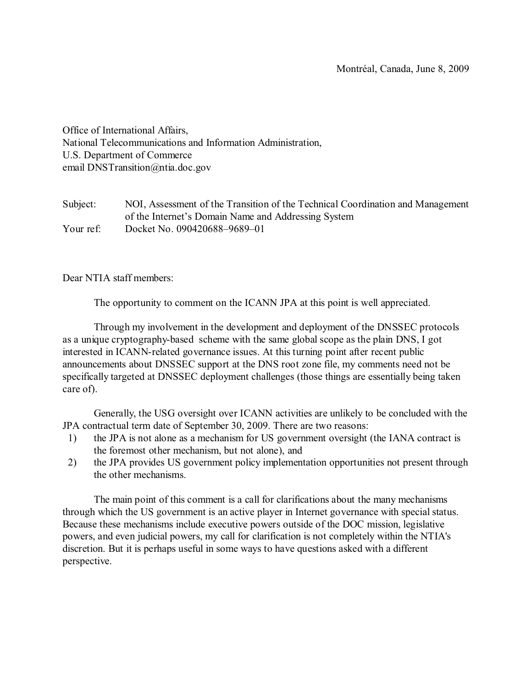Office of International Affairs, National Telecommunications and Information Administration, U.S. Department of Commerce email DNSTransition@ntia.doc.gov

Subject: NOI, Assessment of the Transition of the Technical Coordination and Management of the Internet's Domain Name and Addressing System Your ref: Docket No. 090420688–9689–01

Dear NTIA staff members:

The opportunity to comment on the ICANN JPA at this point is well appreciated.

Through my involvement in the development and deployment of the DNSSEC protocols as a unique cryptography-based scheme with the same global scope as the plain DNS, I got interested in ICANN-related governance issues. At this turning point after recent public announcements about DNSSEC support at the DNS root zone file, my comments need not be specifically targeted at DNSSEC deployment challenges (those things are essentially being taken care of).

Generally, the USG oversight over ICANN activities are unlikely to be concluded with the JPA contractual term date of September 30, 2009. There are two reasons:

- 1) the JPA is not alone as a mechanism for US government oversight (the IANA contract is the foremost other mechanism, but not alone), and
- 2) the JPA provides US government policy implementation opportunities not present through the other mechanisms.

The main point of this comment is a call for clarifications about the many mechanisms through which the US government is an active player in Internet governance with special status. Because these mechanisms include executive powers outside of the DOC mission, legislative powers, and even judicial powers, my call for clarification is not completely within the NTIA's discretion. But it is perhaps useful in some ways to have questions asked with a different perspective.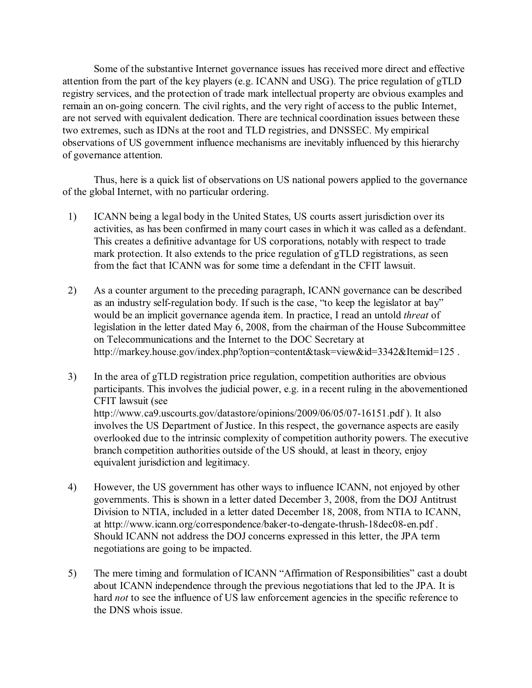Some of the substantive Internet governance issues has received more direct and effective attention from the part of the key players (e.g. ICANN and USG). The price regulation of gTLD registry services, and the protection of trade mark intellectual property are obvious examples and remain an on-going concern. The civil rights, and the very right of access to the public Internet, are not served with equivalent dedication. There are technical coordination issues between these two extremes, such as IDNs at the root and TLD registries, and DNSSEC. My empirical observations of US government influence mechanisms are inevitably influenced by this hierarchy of governance attention.

Thus, here is a quick list of observations on US national powers applied to the governance of the global Internet, with no particular ordering.

- 1) ICANN being a legal body in the United States, US courts assert jurisdiction over its activities, as has been confirmed in many court cases in which it was called as a defendant. This creates a definitive advantage for US corporations, notably with respect to trade mark protection. It also extends to the price regulation of gTLD registrations, as seen from the fact that ICANN was for some time a defendant in the CFIT lawsuit.
- 2) As a counter argument to the preceding paragraph, ICANN governance can be described as an industry self-regulation body. If such is the case, "to keep the legislator at bay" would be an implicit governance agenda item. In practice, I read an untold *threat* of legislation in the letter dated May 6, 2008, from the chairman of the House Subcommittee on Telecommunications and the Internet to the DOC Secretary at http://markey.house.gov/index.php?option=content&task=view&id=3342&Itemid=125.
- 3) In the area of gTLD registration price regulation, competition authorities are obvious participants. This involves the judicial power, e.g. in a recent ruling in the abovementioned CFIT lawsuit (see http://www.ca9.uscourts.gov/datastore/opinions/2009/06/05/07-16151.pdf ). It also involves the US Department of Justice. In this respect, the governance aspects are easily overlooked due to the intrinsic complexity of competition authority powers. The executive branch competition authorities outside of the US should, at least in theory, enjoy equivalent jurisdiction and legitimacy.
- 4) However, the US government has other ways to influence ICANN, not enjoyed by other governments. This is shown in a letter dated December 3, 2008, from the DOJ Antitrust Division to NTIA, included in a letter dated December 18, 2008, from NTIA to ICANN, at http://www.icann.org/correspondence/baker-to-dengate-thrush-18dec08-en.pdf . Should ICANN not address the DOJ concerns expressed in this letter, the JPA term negotiations are going to be impacted.
- 5) The mere timing and formulation of ICANN "Affirmation of Responsibilities" cast a doubt about ICANN independence through the previous negotiations that led to the JPA. It is hard *not* to see the influence of US law enforcement agencies in the specific reference to the DNS whois issue.